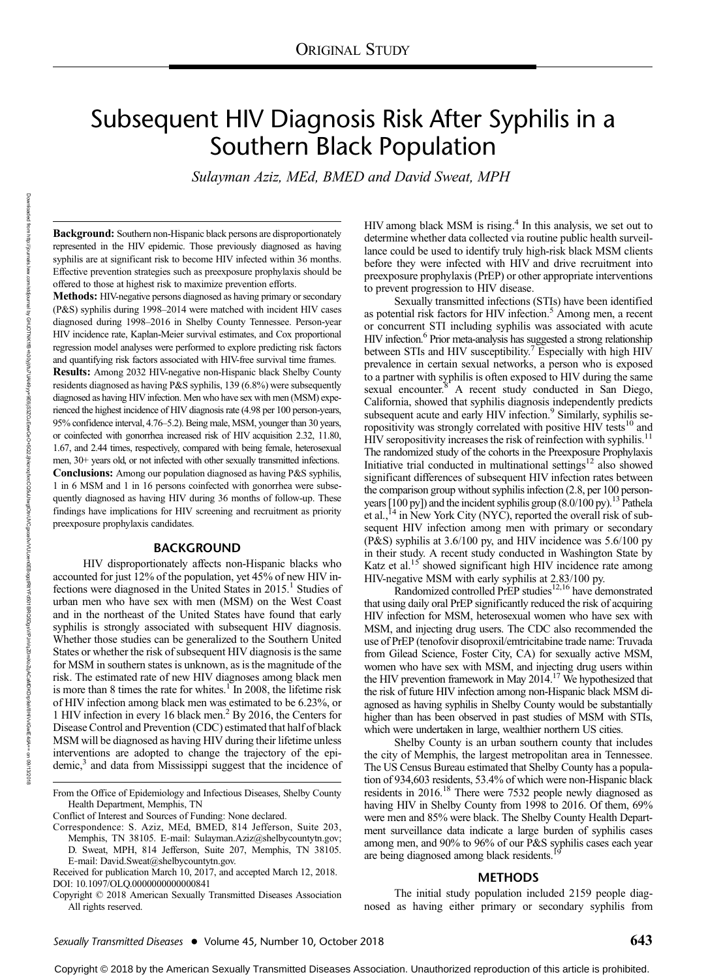# Subsequent HIV Diagnosis Risk After Syphilis in a Southern Black Population

Sulayman Aziz, MEd, BMED and David Sweat, MPH

Background: Southern non-Hispanic black persons are disproportionately represented in the HIV epidemic. Those previously diagnosed as having syphilis are at significant risk to become HIV infected within 36 months. Effective prevention strategies such as preexposure prophylaxis should be offered to those at highest risk to maximize prevention efforts.

Methods: HIV-negative persons diagnosed as having primary or secondary (P&S) syphilis during 1998–2014 were matched with incident HIV cases diagnosed during 1998–2016 in Shelby County Tennessee. Person-year HIV incidence rate, Kaplan-Meier survival estimates, and Cox proportional regression model analyses were performed to explore predicting risk factors and quantifying risk factors associated with HIV-free survival time frames.

Results: Among 2032 HIV-negative non-Hispanic black Shelby County residents diagnosed as having P&S syphilis, 139 (6.8%) were subsequently diagnosed as having HIV infection. Men who have sex with men (MSM) experienced the highest incidence of HIV diagnosis rate (4.98 per 100 person-years, 95% confidence interval, 4.76–5.2). Being male, MSM, younger than 30 years, or coinfected with gonorrhea increased risk of HIV acquisition 2.32, 11.80, 1.67, and 2.44 times, respectively, compared with being female, heterosexual men, 30+ years old, or not infected with other sexually transmitted infections. Conclusions: Among our population diagnosed as having P&S syphilis, 1 in 6 MSM and 1 in 16 persons coinfected with gonorrhea were subsequently diagnosed as having HIV during 36 months of follow-up. These findings have implications for HIV screening and recruitment as priority preexposure prophylaxis candidates.

## BACKGROUND

HIV disproportionately affects non-Hispanic blacks who accounted for just 12% of the population, yet 45% of new HIV infections were diagnosed in the United States in  $2015<sup>1</sup>$  Studies of urban men who have sex with men (MSM) on the West Coast and in the northeast of the United States have found that early syphilis is strongly associated with subsequent HIV diagnosis. Whether those studies can be generalized to the Southern United States or whether the risk of subsequent HIV diagnosis is the same for MSM in southern states is unknown, as is the magnitude of the risk. The estimated rate of new HIV diagnoses among black men is more than 8 times the rate for whites.<sup>1</sup> In 2008, the lifetime risk of HIV infection among black men was estimated to be 6.23%, or 1 HIV infection in every 16 black men.2 By 2016, the Centers for Disease Control and Prevention (CDC) estimated that half of black MSM will be diagnosed as having HIV during their lifetime unless interventions are adopted to change the trajectory of the epidemic,<sup>3</sup> and data from Mississippi suggest that the incidence of

Conflict of Interest and Sources of Funding: None declared.

HIV among black MSM is rising.<sup>4</sup> In this analysis, we set out to determine whether data collected via routine public health surveillance could be used to identify truly high-risk black MSM clients before they were infected with HIV and drive recruitment into preexposure prophylaxis (PrEP) or other appropriate interventions to prevent progression to HIV disease.

Sexually transmitted infections (STIs) have been identified as potential risk factors for HIV infection.<sup>5</sup> Among men, a recent or concurrent STI including syphilis was associated with acute HIV infection.6 Prior meta-analysis has suggested a strong relationship between STIs and HIV susceptibility.<sup>7</sup> Especially with high HIV prevalence in certain sexual networks, a person who is exposed to a partner with syphilis is often exposed to HIV during the same sexual encounter.<sup>8</sup> A recent study conducted in San Diego, California, showed that syphilis diagnosis independently predicts subsequent acute and early HIV infection.<sup>9</sup> Similarly, syphilis seropositivity was strongly correlated with positive HIV tests<sup>10</sup> and HIV seropositivity increases the risk of reinfection with syphilis.<sup>11</sup> The randomized study of the cohorts in the Preexposure Prophylaxis Initiative trial conducted in multinational settings<sup>12</sup> also showed significant differences of subsequent HIV infection rates between the comparison group without syphilis infection (2.8, per 100 personyears  $[100 \text{ py}]$ ) and the incident syphilis group  $(8.0/100 \text{ py})$ .<sup>13</sup> Pathela et al.,<sup>14</sup> in New York City (NYC), reported the overall risk of subsequent HIV infection among men with primary or secondary (P&S) syphilis at 3.6/100 py, and HIV incidence was 5.6/100 py in their study. A recent study conducted in Washington State by Katz et al.<sup>15</sup> showed significant high HIV incidence rate among HIV-negative MSM with early syphilis at 2.83/100 py.

Randomized controlled PrEP studies<sup>12,16</sup> have demonstrated that using daily oral PrEP significantly reduced the risk of acquiring HIV infection for MSM, heterosexual women who have sex with MSM, and injecting drug users. The CDC also recommended the use of PrEP (tenofovir disoproxil/emtricitabine trade name: Truvada from Gilead Science, Foster City, CA) for sexually active MSM, women who have sex with MSM, and injecting drug users within the HIV prevention framework in May  $2014<sup>17</sup>$  We hypothesized that the risk of future HIV infection among non-Hispanic black MSM diagnosed as having syphilis in Shelby County would be substantially higher than has been observed in past studies of MSM with STIs, which were undertaken in large, wealthier northern US cities.

Shelby County is an urban southern county that includes the city of Memphis, the largest metropolitan area in Tennessee. The US Census Bureau estimated that Shelby County has a population of 934,603 residents, 53.4% of which were non-Hispanic black residents in 2016.18 There were 7532 people newly diagnosed as having HIV in Shelby County from 1998 to 2016. Of them, 69% were men and 85% were black. The Shelby County Health Department surveillance data indicate a large burden of syphilis cases among men, and 90% to 96% of our P&S syphilis cases each year are being diagnosed among black residents.

#### METHODS

The initial study population included 2159 people diagnosed as having either primary or secondary syphilis from

Downloaded from

http://journals.lww.com/stdjournal

হ

From the Office of Epidemiology and Infectious Diseases, Shelby County Health Department, Memphis, TN

Correspondence: S. Aziz, MEd, BMED, 814 Jefferson, Suite 203, Memphis, TN 38105. E-mail: [Sulayman.Aziz@shelbycountytn.gov;](mailto:Sulayman.Aziz@shelbycountytn.gov) D. Sweat, MPH, 814 Jefferson, Suite 207, Memphis, TN 38105. E-mail: [David.Sweat@shelbycountytn.gov.](mailto:David.Sweat@shelbycountytn.gov)

Received for publication March 10, 2017, and accepted March 12, 2018. DOI: 10.1097/OLQ.0000000000000841

Copyright © 2018 American Sexually Transmitted Diseases Association All rights reserved.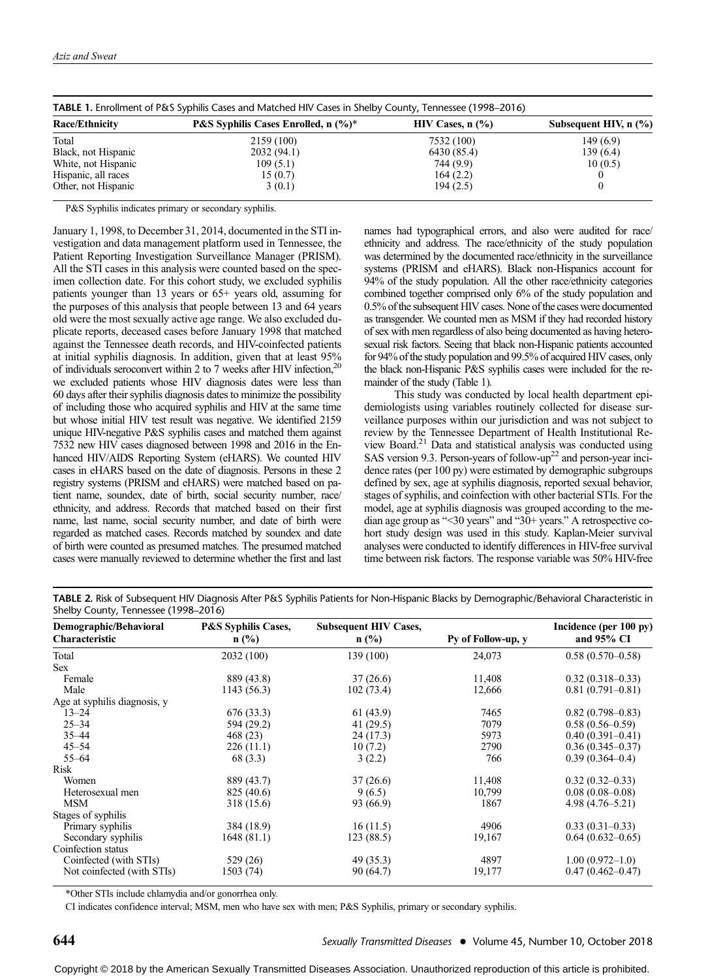| TABLE 1. Enrollment of P&S Syphilis Cases and Matched HIV Cases in Shelby County, Tennessee (1998–2016) |                                                |                        |                             |  |  |
|---------------------------------------------------------------------------------------------------------|------------------------------------------------|------------------------|-----------------------------|--|--|
| <b>Race/Ethnicity</b>                                                                                   | <b>P&amp;S Syphilis Cases Enrolled, n</b> (%)* | $HIV$ Cases, n $(\% )$ | Subsequent HIV, $n$ $(\% )$ |  |  |
| Total                                                                                                   | 2159 (100)                                     | 7532 (100)             | 149(6.9)                    |  |  |
| Black, not Hispanic                                                                                     | 2032 (94.1)                                    | 6430 (85.4)            | 139(6.4)                    |  |  |
| White, not Hispanic                                                                                     | 109(5.1)                                       | 744 (9.9)              | 10(0.5)                     |  |  |
| Hispanic, all races                                                                                     | 15(0.7)                                        | 164(2.2)               |                             |  |  |
| Other, not Hispanic                                                                                     | 3(0.1)                                         | 194(2.5)               |                             |  |  |

P&S Syphilis indicates primary or secondary syphilis.

January 1, 1998, to December 31, 2014, documented in the STI investigation and data management platform used in Tennessee, the Patient Reporting Investigation Surveillance Manager (PRISM). All the STI cases in this analysis were counted based on the specimen collection date. For this cohort study, we excluded syphilis patients younger than 13 years or 65+ years old, assuming for the purposes of this analysis that people between 13 and 64 years old were the most sexually active age range. We also excluded duplicate reports, deceased cases before January 1998 that matched against the Tennessee death records, and HIV-coinfected patients at initial syphilis diagnosis. In addition, given that at least 95% of individuals seroconvert within 2 to 7 weeks after HIV infection,20 we excluded patients whose HIV diagnosis dates were less than 60 days after their syphilis diagnosis dates to minimize the possibility of including those who acquired syphilis and HIV at the same time but whose initial HIV test result was negative. We identified 2159 unique HIV-negative P&S syphilis cases and matched them against 7532 new HIV cases diagnosed between 1998 and 2016 in the Enhanced HIV/AIDS Reporting System (eHARS). We counted HIV cases in eHARS based on the date of diagnosis. Persons in these 2 registry systems (PRISM and eHARS) were matched based on patient name, soundex, date of birth, social security number, race/ ethnicity, and address. Records that matched based on their first name, last name, social security number, and date of birth were regarded as matched cases. Records matched by soundex and date of birth were counted as presumed matches. The presumed matched cases were manually reviewed to determine whether the first and last

names had typographical errors, and also were audited for race/ ethnicity and address. The race/ethnicity of the study population was determined by the documented race/ethnicity in the surveillance systems (PRISM and eHARS). Black non-Hispanics account for 94% of the study population. All the other race/ethnicity categories combined together comprised only 6% of the study population and 0.5% of the subsequent HIV cases. None of the cases were documented as transgender. We counted men as MSM if they had recorded history of sex with men regardless of also being documented as having heterosexual risk factors. Seeing that black non-Hispanic patients accounted for 94% of the study population and 99.5% of acquired HIV cases, only the black non-Hispanic P&S syphilis cases were included for the remainder of the study (Table 1).

This study was conducted by local health department epidemiologists using variables routinely collected for disease surveillance purposes within our jurisdiction and was not subject to review by the Tennessee Department of Health Institutional Review Board.21 Data and statistical analysis was conducted using SAS version 9.3. Person-years of follow-up<sup>22</sup> and person-year incidence rates (per 100 py) were estimated by demographic subgroups defined by sex, age at syphilis diagnosis, reported sexual behavior, stages of syphilis, and coinfection with other bacterial STIs. For the model, age at syphilis diagnosis was grouped according to the median age group as "<30 years" and "30+ years." A retrospective cohort study design was used in this study. Kaplan-Meier survival analyses were conducted to identify differences in HIV-free survival time between risk factors. The response variable was 50% HIV-free

TABLE 2. Risk of Subsequent HIV Diagnosis After P&S Syphilis Patients for Non-Hispanic Blacks by Demographic/Behavioral Characteristic in Shelby County, Tennessee (1998–2016)

| ,,<br>Demographic/Behavioral<br>Characteristic | <b>P&amp;S Syphilis Cases,</b><br>$n$ (%) | <b>Subsequent HIV Cases,</b><br>$n$ (%) | Py of Follow-up, y | Incidence (per 100 py)<br>and 95% CI |
|------------------------------------------------|-------------------------------------------|-----------------------------------------|--------------------|--------------------------------------|
|                                                |                                           |                                         |                    |                                      |
| Total                                          | 2032 (100)                                | 139 (100)                               | 24,073             | $0.58(0.570-0.58)$                   |
| <b>Sex</b>                                     |                                           |                                         |                    |                                      |
| Female                                         | 889 (43.8)                                | 37(26.6)                                | 11,408             | $0.32(0.318 - 0.33)$                 |
| Male                                           | 1143 (56.3)                               | 102(73.4)                               | 12,666             | $0.81(0.791 - 0.81)$                 |
| Age at syphilis diagnosis, y                   |                                           |                                         |                    |                                      |
| $13 - 24$                                      | 676 (33.3)                                | 61 (43.9)                               | 7465               | $0.82(0.798 - 0.83)$                 |
| $25 - 34$                                      | 594 (29.2)                                | 41 (29.5)                               | 7079               | $0.58(0.56-0.59)$                    |
| $35 - 44$                                      | 468 (23)                                  | 24 (17.3)                               | 5973               | $0.40(0.391 - 0.41)$                 |
| $45 - 54$                                      | 226(11.1)                                 | 10(7.2)                                 | 2790               | $0.36(0.345 - 0.37)$                 |
| $55 - 64$                                      | 68 (3.3)                                  | 3(2.2)                                  | 766                | $0.39(0.364 - 0.4)$                  |
| Risk                                           |                                           |                                         |                    |                                      |
| Women                                          | 889 (43.7)                                | 37(26.6)                                | 11,408             | $0.32(0.32-0.33)$                    |
| Heterosexual men                               | 825 (40.6)                                | 9(6.5)                                  | 10,799             | $0.08(0.08 - 0.08)$                  |
| <b>MSM</b>                                     | 318 (15.6)                                | 93 (66.9)                               | 1867               | $4.98(4.76 - 5.21)$                  |
| Stages of syphilis                             |                                           |                                         |                    |                                      |
| Primary syphilis                               | 384 (18.9)                                | 16(11.5)                                | 4906               | $0.33(0.31-0.33)$                    |
| Secondary syphilis                             | 1648 (81.1)                               | 123(88.5)                               | 19,167             | $0.64(0.632 - 0.65)$                 |
| Coinfection status                             |                                           |                                         |                    |                                      |
| Coinfected (with STIs)                         | 529 (26)                                  | 49 (35.3)                               | 4897               | $1.00(0.972 - 1.0)$                  |
| Not coinfected (with STIs)                     | 1503 (74)                                 | 90 (64.7)                               | 19,177             | $0.47(0.462 - 0.47)$                 |

\*Other STIs include chlamydia and/or gonorrhea only.

CI indicates confidence interval; MSM, men who have sex with men; P&S Syphilis, primary or secondary syphilis.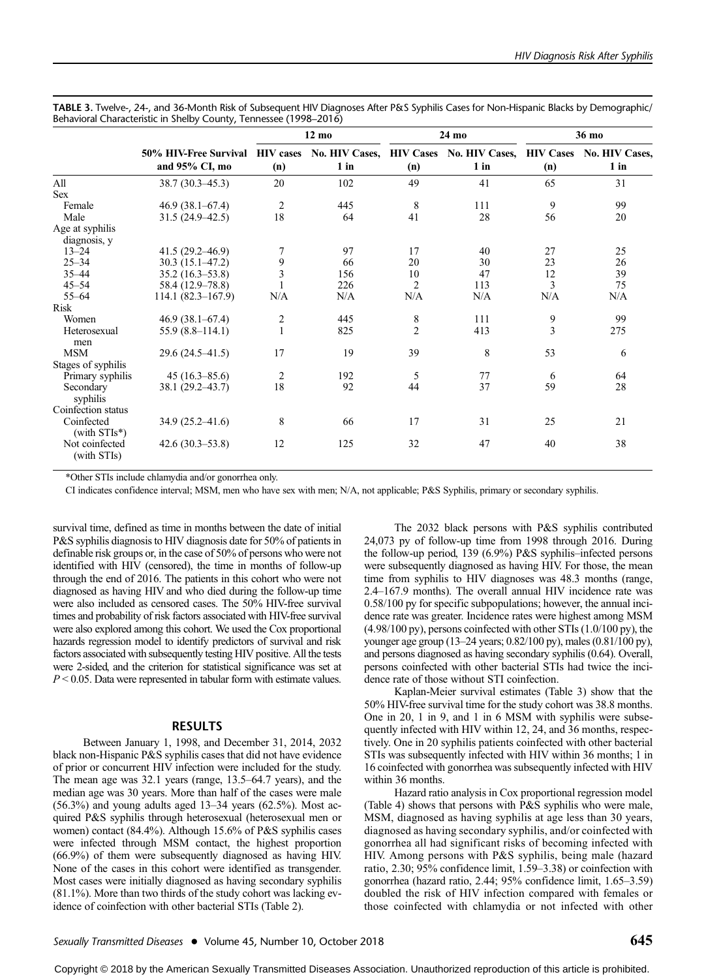|  | TABLE 3. Twelve-, 24-, and 36-Month Risk of Subsequent HIV Diagnoses After P&S Syphilis Cases for Non-Hispanic Blacks by Demographic/ |  |  |
|--|---------------------------------------------------------------------------------------------------------------------------------------|--|--|
|  | Behavioral Characteristic in Shelby County, Tennessee (1998–2016)                                                                     |  |  |

|                                |                                                                                                  | $12 \text{ mo}$ |        | 24 mo          |        | 36 mo          |        |
|--------------------------------|--------------------------------------------------------------------------------------------------|-----------------|--------|----------------|--------|----------------|--------|
|                                | 50% HIV-Free Survival HIV cases No. HIV Cases, HIV Cases No. HIV Cases, HIV Cases No. HIV Cases, |                 |        |                |        |                |        |
|                                | and 95% CI, mo                                                                                   | (n)             | $1$ in | (n)            | $1$ in | (n)            | $1$ in |
| All                            | $38.7(30.3-45.3)$                                                                                | 20              | 102    | 49             | 41     | 65             | 31     |
| Sex                            |                                                                                                  |                 |        |                |        |                |        |
| Female                         | $46.9(38.1 - 67.4)$                                                                              | $\overline{2}$  | 445    | 8              | 111    | 9              | 99     |
| Male                           | $31.5(24.9-42.5)$                                                                                | 18              | 64     | 41             | 28     | 56             | 20     |
| Age at syphilis                |                                                                                                  |                 |        |                |        |                |        |
| diagnosis, y                   |                                                                                                  |                 |        |                |        |                |        |
| $13 - 24$                      | $41.5(29.2 - 46.9)$                                                                              | 7               | 97     | 17             | 40     | 27             | 25     |
| $25 - 34$                      | $30.3(15.1 - 47.2)$                                                                              | 9               | 66     | 20             | 30     | 23             | 26     |
| $35 - 44$                      | $35.2(16.3 - 53.8)$                                                                              | 3               | 156    | 10             | 47     | 12             | 39     |
| $45 - 54$                      | 58.4 (12.9–78.8)                                                                                 |                 | 226    | $\overline{2}$ | 113    | 3              | 75     |
| $55 - 64$                      | $114.1(82.3 - 167.9)$                                                                            | N/A             | N/A    | N/A            | N/A    | N/A            | N/A    |
| Risk                           |                                                                                                  |                 |        |                |        |                |        |
| Women                          | $46.9(38.1 - 67.4)$                                                                              |                 | 445    | 8              | 111    | 9              | 99     |
| Heterosexual<br>men            | $55.9(8.8-114.1)$                                                                                | $\frac{2}{1}$   | 825    | $\overline{2}$ | 413    | $\overline{3}$ | 275    |
| <b>MSM</b>                     | $29.6(24.5 - 41.5)$                                                                              | 17              | 19     | 39             | 8      | 53             | 6      |
| Stages of syphilis             |                                                                                                  |                 |        |                |        |                |        |
| Primary syphilis               | $45(16.3 - 85.6)$                                                                                | 2               | 192    | 5              | 77     | 6              | 64     |
| Secondary<br>syphilis          | $38.1(29.2 - 43.7)$                                                                              | 18              | 92     | 44             | 37     | 59             | 28     |
| Coinfection status             |                                                                                                  |                 |        |                |        |                |        |
| Coinfected<br>(with $STIs^*$ ) | $34.9(25.2 - 41.6)$                                                                              | 8               | 66     | 17             | 31     | 25             | 21     |
| Not coinfected<br>(with STIs)  | $42.6(30.3 - 53.8)$                                                                              | 12              | 125    | 32             | 47     | 40             | 38     |

\*Other STIs include chlamydia and/or gonorrhea only.

CI indicates confidence interval; MSM, men who have sex with men; N/A, not applicable; P&S Syphilis, primary or secondary syphilis.

survival time, defined as time in months between the date of initial P&S syphilis diagnosis to HIV diagnosis date for 50% of patients in definable risk groups or, in the case of 50% of persons who were not identified with HIV (censored), the time in months of follow-up through the end of 2016. The patients in this cohort who were not diagnosed as having HIV and who died during the follow-up time were also included as censored cases. The 50% HIV-free survival times and probability of risk factors associated with HIV-free survival were also explored among this cohort. We used the Cox proportional hazards regression model to identify predictors of survival and risk factors associated with subsequently testing HIV positive. All the tests were 2-sided, and the criterion for statistical significance was set at  $P < 0.05$ . Data were represented in tabular form with estimate values.

## RESULTS

Between January 1, 1998, and December 31, 2014, 2032 black non-Hispanic P&S syphilis cases that did not have evidence of prior or concurrent HIV infection were included for the study. The mean age was 32.1 years (range, 13.5–64.7 years), and the median age was 30 years. More than half of the cases were male  $(56.3\%)$  and young adults aged 13–34 years  $(62.5\%)$ . Most acquired P&S syphilis through heterosexual (heterosexual men or women) contact (84.4%). Although 15.6% of P&S syphilis cases were infected through MSM contact, the highest proportion (66.9%) of them were subsequently diagnosed as having HIV. None of the cases in this cohort were identified as transgender. Most cases were initially diagnosed as having secondary syphilis  $(81.1\%)$ . More than two thirds of the study cohort was lacking evidence of coinfection with other bacterial STIs (Table 2).

The 2032 black persons with P&S syphilis contributed 24,073 py of follow-up time from 1998 through 2016. During the follow-up period, 139 (6.9%) P&S syphilis–infected persons were subsequently diagnosed as having HIV. For those, the mean time from syphilis to HIV diagnoses was 48.3 months (range, 2.4–167.9 months). The overall annual HIV incidence rate was 0.58/100 py for specific subpopulations; however, the annual incidence rate was greater. Incidence rates were highest among MSM (4.98/100 py), persons coinfected with other STIs (1.0/100 py), the younger age group (13–24 years; 0.82/100 py), males (0.81/100 py), and persons diagnosed as having secondary syphilis (0.64). Overall, persons coinfected with other bacterial STIs had twice the incidence rate of those without STI coinfection.

Kaplan-Meier survival estimates (Table 3) show that the 50% HIV-free survival time for the study cohort was 38.8 months. One in 20, 1 in 9, and 1 in 6 MSM with syphilis were subsequently infected with HIV within 12, 24, and 36 months, respectively. One in 20 syphilis patients coinfected with other bacterial STIs was subsequently infected with HIV within 36 months; 1 in 16 coinfected with gonorrhea was subsequently infected with HIV within 36 months.

Hazard ratio analysis in Cox proportional regression model (Table 4) shows that persons with P&S syphilis who were male, MSM, diagnosed as having syphilis at age less than 30 years, diagnosed as having secondary syphilis, and/or coinfected with gonorrhea all had significant risks of becoming infected with HIV. Among persons with P&S syphilis, being male (hazard ratio, 2.30; 95% confidence limit, 1.59–3.38) or coinfection with gonorrhea (hazard ratio, 2.44; 95% confidence limit, 1.65–3.59) doubled the risk of HIV infection compared with females or those coinfected with chlamydia or not infected with other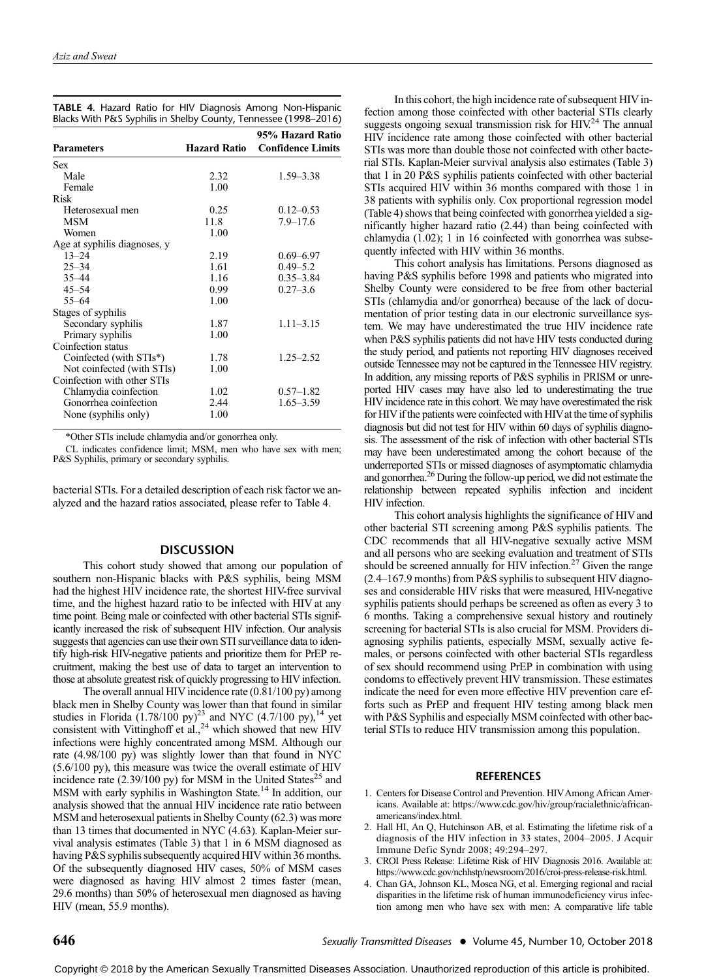|  |  |  | TABLE 4. Hazard Ratio for HIV Diagnosis Among Non-Hispanic       |
|--|--|--|------------------------------------------------------------------|
|  |  |  | Blacks With P&S Syphilis in Shelby County, Tennessee (1998–2016) |

| <b>Parameters</b>            | <b>Hazard Ratio</b> | 95% Hazard Ratio<br><b>Confidence Limits</b> |
|------------------------------|---------------------|----------------------------------------------|
| Sex                          |                     |                                              |
| Male                         | 2.32                | $1.59 - 3.38$                                |
|                              |                     |                                              |
| Female                       | 1.00                |                                              |
| <b>Risk</b>                  |                     |                                              |
| Heterosexual men             | 0.25                | $0.12 - 0.53$                                |
| MSM                          | 11.8                | $7.9 - 17.6$                                 |
| Women                        | 1.00                |                                              |
| Age at syphilis diagnoses, y |                     |                                              |
| $13 - 24$                    | 2.19                | $0.69 - 6.97$                                |
| $25 - 34$                    | 1.61                | $0.49 - 5.2$                                 |
| $35 - 44$                    | 1.16                | $0.35 - 3.84$                                |
| $45 - 54$                    | 0.99                | $0.27 - 3.6$                                 |
| $55 - 64$                    | 1.00                |                                              |
| Stages of syphilis           |                     |                                              |
| Secondary syphilis           | 1.87                | $1.11 - 3.15$                                |
| Primary syphilis             | 1.00                |                                              |
| Coinfection status           |                     |                                              |
| Coinfected (with STIs*)      | 1.78                | $1.25 - 2.52$                                |
| Not coinfected (with STIs)   | 1.00                |                                              |
| Coinfection with other STIs  |                     |                                              |
| Chlamydia coinfection        | 1.02                | $0.57 - 1.82$                                |
| Gonorrhea coinfection        | 2.44                | $1.65 - 3.59$                                |
| None (syphilis only)         | 1.00                |                                              |
|                              |                     |                                              |

\*Other STIs include chlamydia and/or gonorrhea only.

CL indicates confidence limit; MSM, men who have sex with men; P&S Syphilis, primary or secondary syphilis.

bacterial STIs. For a detailed description of each risk factor we analyzed and the hazard ratios associated, please refer to Table 4.

## **DISCUSSION**

This cohort study showed that among our population of southern non-Hispanic blacks with P&S syphilis, being MSM had the highest HIV incidence rate, the shortest HIV-free survival time, and the highest hazard ratio to be infected with HIV at any time point. Being male or coinfected with other bacterial STIs significantly increased the risk of subsequent HIV infection. Our analysis suggests that agencies can use their own STI surveillance data to identify high-risk HIV-negative patients and prioritize them for PrEP recruitment, making the best use of data to target an intervention to those at absolute greatest risk of quickly progressing to HIV infection.

The overall annual HIV incidence rate (0.81/100 py) among black men in Shelby County was lower than that found in similar studies in Florida  $(1.78/100 \text{ py})^{23}$  and NYC  $(4.7/100 \text{ py})$ ,<sup>14</sup> yet consistent with Vittinghoff et al.,<sup>24</sup> which showed that new HIV infections were highly concentrated among MSM. Although our rate (4.98/100 py) was slightly lower than that found in NYC (5.6/100 py), this measure was twice the overall estimate of HIV incidence rate  $(2.39/100 \text{ py})$  for MSM in the United States<sup>25</sup> and MSM with early syphilis in Washington State.<sup>14</sup> In addition, our analysis showed that the annual HIV incidence rate ratio between MSM and heterosexual patients in Shelby County (62.3) was more than 13 times that documented in NYC (4.63). Kaplan-Meier survival analysis estimates (Table 3) that 1 in 6 MSM diagnosed as having P&S syphilis subsequently acquired HIV within 36 months. Of the subsequently diagnosed HIV cases, 50% of MSM cases were diagnosed as having HIV almost 2 times faster (mean, 29.6 months) than 50% of heterosexual men diagnosed as having HIV (mean, 55.9 months).

In this cohort, the high incidence rate of subsequent HIV infection among those coinfected with other bacterial STIs clearly suggests ongoing sexual transmission risk for  $HIV<sup>24</sup>$  The annual HIV incidence rate among those coinfected with other bacterial STIs was more than double those not coinfected with other bacterial STIs. Kaplan-Meier survival analysis also estimates (Table 3) that 1 in 20 P&S syphilis patients coinfected with other bacterial STIs acquired HIV within 36 months compared with those 1 in 38 patients with syphilis only. Cox proportional regression model (Table 4) shows that being coinfected with gonorrhea yielded a significantly higher hazard ratio (2.44) than being coinfected with chlamydia (1.02); 1 in 16 coinfected with gonorrhea was subsequently infected with HIV within 36 months.

This cohort analysis has limitations. Persons diagnosed as having P&S syphilis before 1998 and patients who migrated into Shelby County were considered to be free from other bacterial STIs (chlamydia and/or gonorrhea) because of the lack of documentation of prior testing data in our electronic surveillance system. We may have underestimated the true HIV incidence rate when P&S syphilis patients did not have HIV tests conducted during the study period, and patients not reporting HIV diagnoses received outside Tennessee may not be captured in the Tennessee HIV registry. In addition, any missing reports of P&S syphilis in PRISM or unreported HIV cases may have also led to underestimating the true HIV incidence rate in this cohort. We may have overestimated the risk for HIV if the patients were coinfected with HIV at the time of syphilis diagnosis but did not test for HIV within 60 days of syphilis diagnosis. The assessment of the risk of infection with other bacterial STIs may have been underestimated among the cohort because of the underreported STIs or missed diagnoses of asymptomatic chlamydia and gonorrhea.26 During the follow-up period, we did not estimate the relationship between repeated syphilis infection and incident HIV infection.

This cohort analysis highlights the significance of HIV and other bacterial STI screening among P&S syphilis patients. The CDC recommends that all HIV-negative sexually active MSM and all persons who are seeking evaluation and treatment of STIs should be screened annually for HIV infection.<sup>27</sup> Given the range (2.4–167.9 months) from P&S syphilis to subsequent HIV diagnoses and considerable HIV risks that were measured, HIV-negative syphilis patients should perhaps be screened as often as every 3 to 6 months. Taking a comprehensive sexual history and routinely screening for bacterial STIs is also crucial for MSM. Providers diagnosing syphilis patients, especially MSM, sexually active females, or persons coinfected with other bacterial STIs regardless of sex should recommend using PrEP in combination with using condoms to effectively prevent HIV transmission. These estimates indicate the need for even more effective HIV prevention care efforts such as PrEP and frequent HIV testing among black men with P&S Syphilis and especially MSM coinfected with other bacterial STIs to reduce HIV transmission among this population.

#### **REFERENCES**

- 1. Centers for Disease Control and Prevention. HIVAmong African Americans. Available at: [https://www.cdc.gov/hiv/group/racialethnic/african](https://www.cdc.gov/hiv/group/racialethnic/africanamericans/index.html)[americans/index.html.](https://www.cdc.gov/hiv/group/racialethnic/africanamericans/index.html)
- 2. Hall HI, An Q, Hutchinson AB, et al. Estimating the lifetime risk of a diagnosis of the HIV infection in 33 states, 2004–2005. J Acquir Immune Defic Syndr 2008; 49:294–297.
- 3. CROI Press Release: Lifetime Risk of HIV Diagnosis 2016. Available at: [https://www.cdc.gov/nchhstp/newsroom/2016/croi-press-release-risk.html.](https://www.cdc.gov/nchhstp/newsroom/2016/croi-press-release-risk.html)
- 4. Chan GA, Johnson KL, Mosca NG, et al. Emerging regional and racial disparities in the lifetime risk of human immunodeficiency virus infection among men who have sex with men: A comparative life table